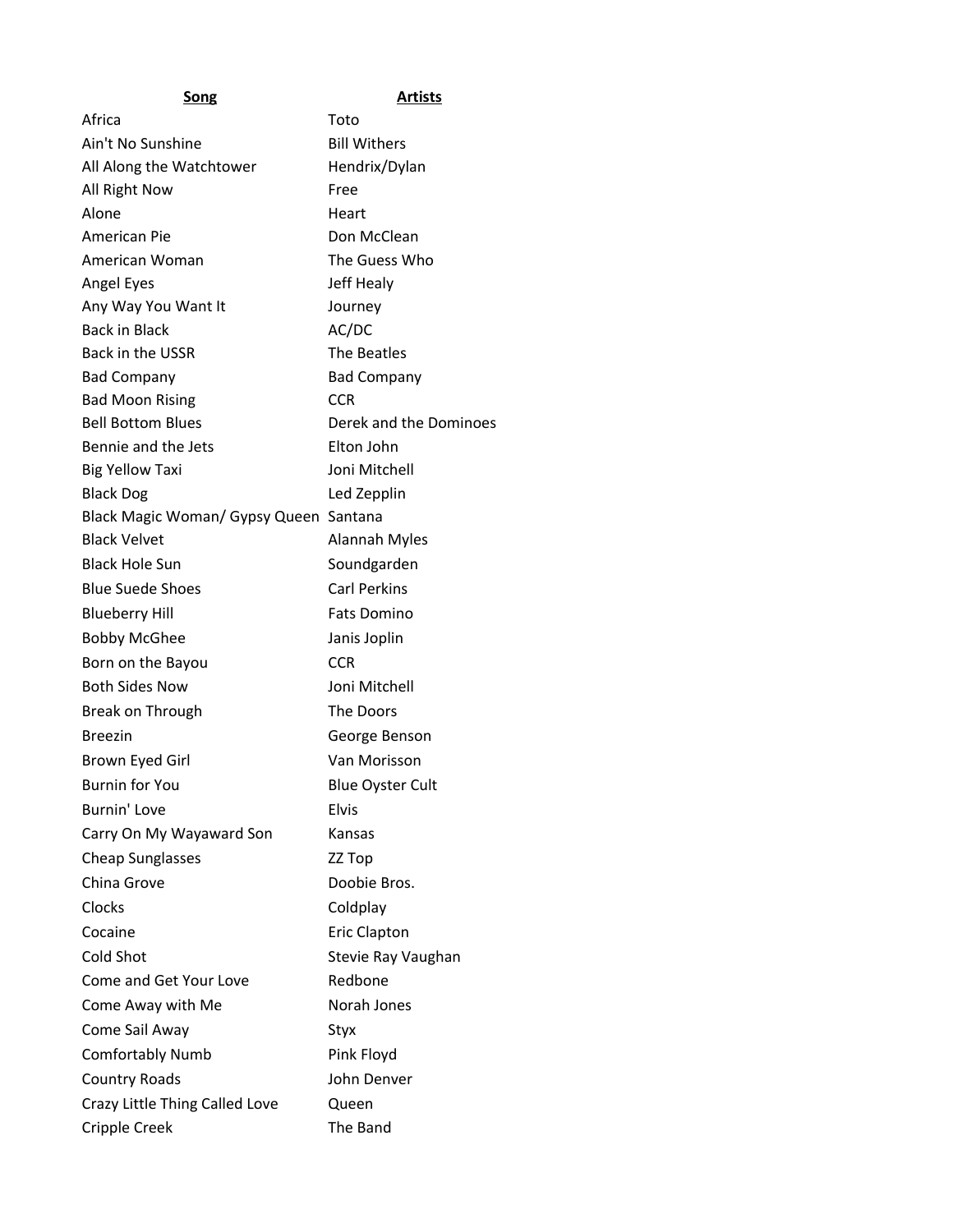| Song                                   | <b>Artists</b>          |
|----------------------------------------|-------------------------|
| Africa                                 | Toto                    |
| Ain't No Sunshine                      | <b>Bill Withers</b>     |
| All Along the Watchtower               | Hendrix/Dylan           |
| All Right Now                          | Free                    |
| Alone                                  | Heart                   |
| American Pie                           | Don McClean             |
| American Woman                         | The Guess Who           |
| Angel Eyes                             | Jeff Healy              |
| Any Way You Want It                    | Journey                 |
| <b>Back in Black</b>                   | AC/DC                   |
| <b>Back in the USSR</b>                | The Beatles             |
| <b>Bad Company</b>                     | <b>Bad Company</b>      |
| <b>Bad Moon Rising</b>                 | <b>CCR</b>              |
| <b>Bell Bottom Blues</b>               | Derek and the Dominoes  |
| Bennie and the Jets                    | Elton John              |
| <b>Big Yellow Taxi</b>                 | Joni Mitchell           |
| <b>Black Dog</b>                       | Led Zepplin             |
| Black Magic Woman/ Gypsy Queen Santana |                         |
| <b>Black Velvet</b>                    | <b>Alannah Myles</b>    |
| <b>Black Hole Sun</b>                  | Soundgarden             |
| <b>Blue Suede Shoes</b>                | <b>Carl Perkins</b>     |
| <b>Blueberry Hill</b>                  | <b>Fats Domino</b>      |
| <b>Bobby McGhee</b>                    | Janis Joplin            |
| Born on the Bayou                      | <b>CCR</b>              |
| <b>Both Sides Now</b>                  | Joni Mitchell           |
| Break on Through                       | The Doors               |
| Breezin                                | George Benson           |
| Brown Eyed Girl                        | Van Morisson            |
| Burnin for You                         | <b>Blue Oyster Cult</b> |
| Burnin' Love                           | Elvis                   |
| Carry On My Wayaward Son               | Kansas                  |
| <b>Cheap Sunglasses</b>                | ZZ Top                  |
| China Grove                            | Doobie Bros.            |
| Clocks                                 | Coldplay                |
| Cocaine                                | <b>Eric Clapton</b>     |
| Cold Shot                              | Stevie Ray Vaughan      |
| Come and Get Your Love                 | Redbone                 |
| Come Away with Me                      | Norah Jones             |
| Come Sail Away                         | Styx                    |
| <b>Comfortably Numb</b>                | Pink Floyd              |
| <b>Country Roads</b>                   | John Denver             |
|                                        |                         |
| Crazy Little Thing Called Love         | Queen                   |
| Cripple Creek                          | The Band                |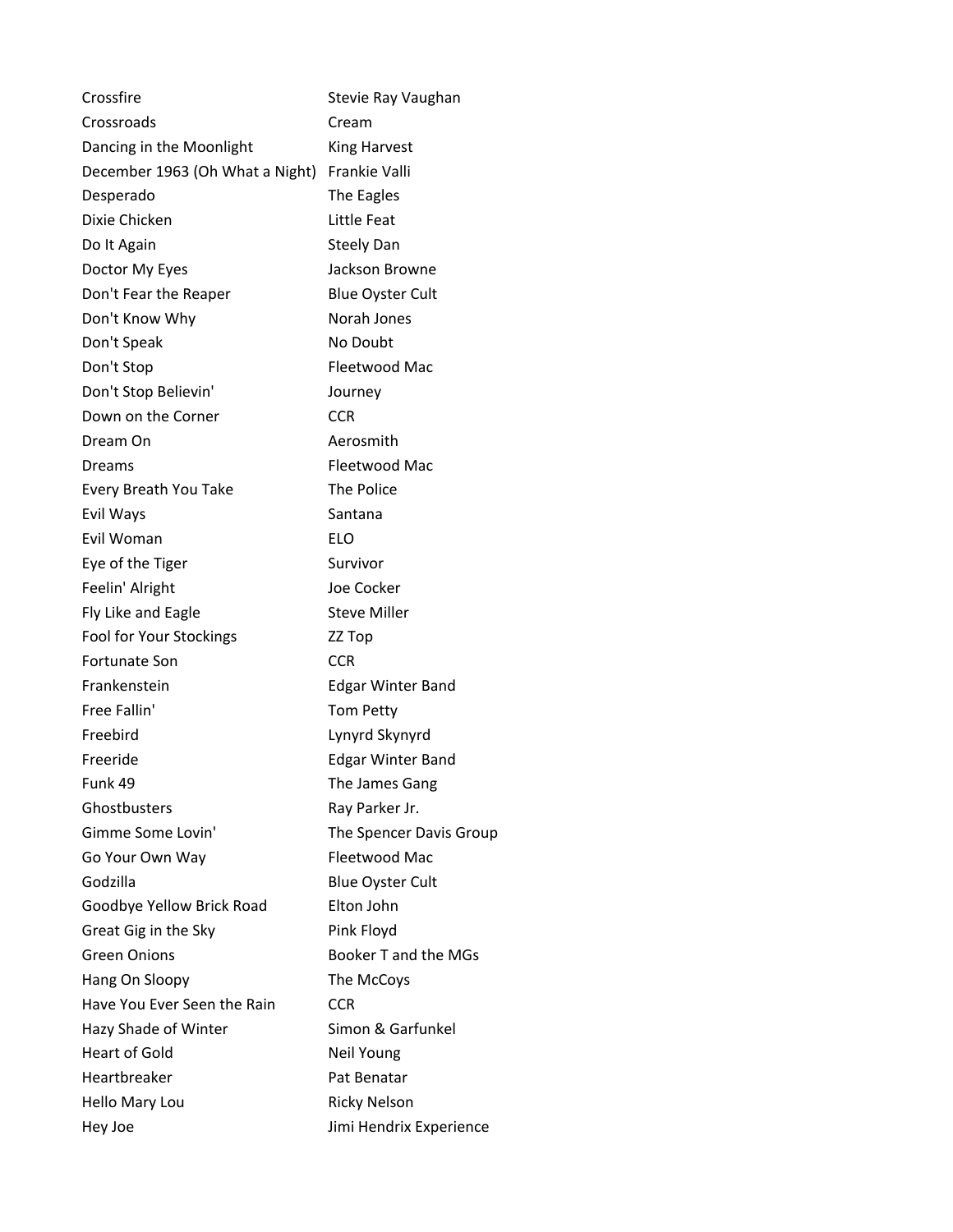| Crossfire                       | Stevie Ray Vaughan       |
|---------------------------------|--------------------------|
| Crossroads                      | Cream                    |
| Dancing in the Moonlight        | <b>King Harvest</b>      |
| December 1963 (Oh What a Night) | Frankie Valli            |
| Desperado                       | The Eagles               |
| Dixie Chicken                   | Little Feat              |
| Do It Again                     | <b>Steely Dan</b>        |
| Doctor My Eyes                  | Jackson Browne           |
| Don't Fear the Reaper           | <b>Blue Oyster Cult</b>  |
| Don't Know Why                  | Norah Jones              |
| Don't Speak                     | No Doubt                 |
| Don't Stop                      | Fleetwood Mac            |
| Don't Stop Believin'            | Journey                  |
| Down on the Corner              | <b>CCR</b>               |
| Dream On                        | Aerosmith                |
| Dreams                          | Fleetwood Mac            |
| Every Breath You Take           | The Police               |
| Evil Ways                       | Santana                  |
| Evil Woman                      | <b>ELO</b>               |
| Eye of the Tiger                | Survivor                 |
| Feelin' Alright                 | Joe Cocker               |
| Fly Like and Eagle              | <b>Steve Miller</b>      |
| Fool for Your Stockings         | ZZ Top                   |
| <b>Fortunate Son</b>            | <b>CCR</b>               |
| Frankenstein                    | <b>Edgar Winter Band</b> |
| Free Fallin'                    | <b>Tom Petty</b>         |
| Freebird                        | Lynyrd Skynyrd           |
| Freeride                        | <b>Edgar Winter Band</b> |
| Funk 49                         | The James Gang           |
| Ghostbusters                    | Ray Parker Jr.           |
| Gimme Some Lovin'               | The Spencer Davis Group  |
| Go Your Own Way                 | Fleetwood Mac            |
| Godzilla                        | <b>Blue Oyster Cult</b>  |
| Goodbye Yellow Brick Road       | Elton John               |
| Great Gig in the Sky            | Pink Floyd               |
| <b>Green Onions</b>             | Booker T and the MGs     |
| Hang On Sloopy                  | The McCoys               |
| Have You Ever Seen the Rain     | <b>CCR</b>               |
| Hazy Shade of Winter            | Simon & Garfunkel        |
| <b>Heart of Gold</b>            | Neil Young               |
| Heartbreaker                    | Pat Benatar              |
| Hello Mary Lou                  | <b>Ricky Nelson</b>      |
| Hey Joe                         | Jimi Hendrix Experience  |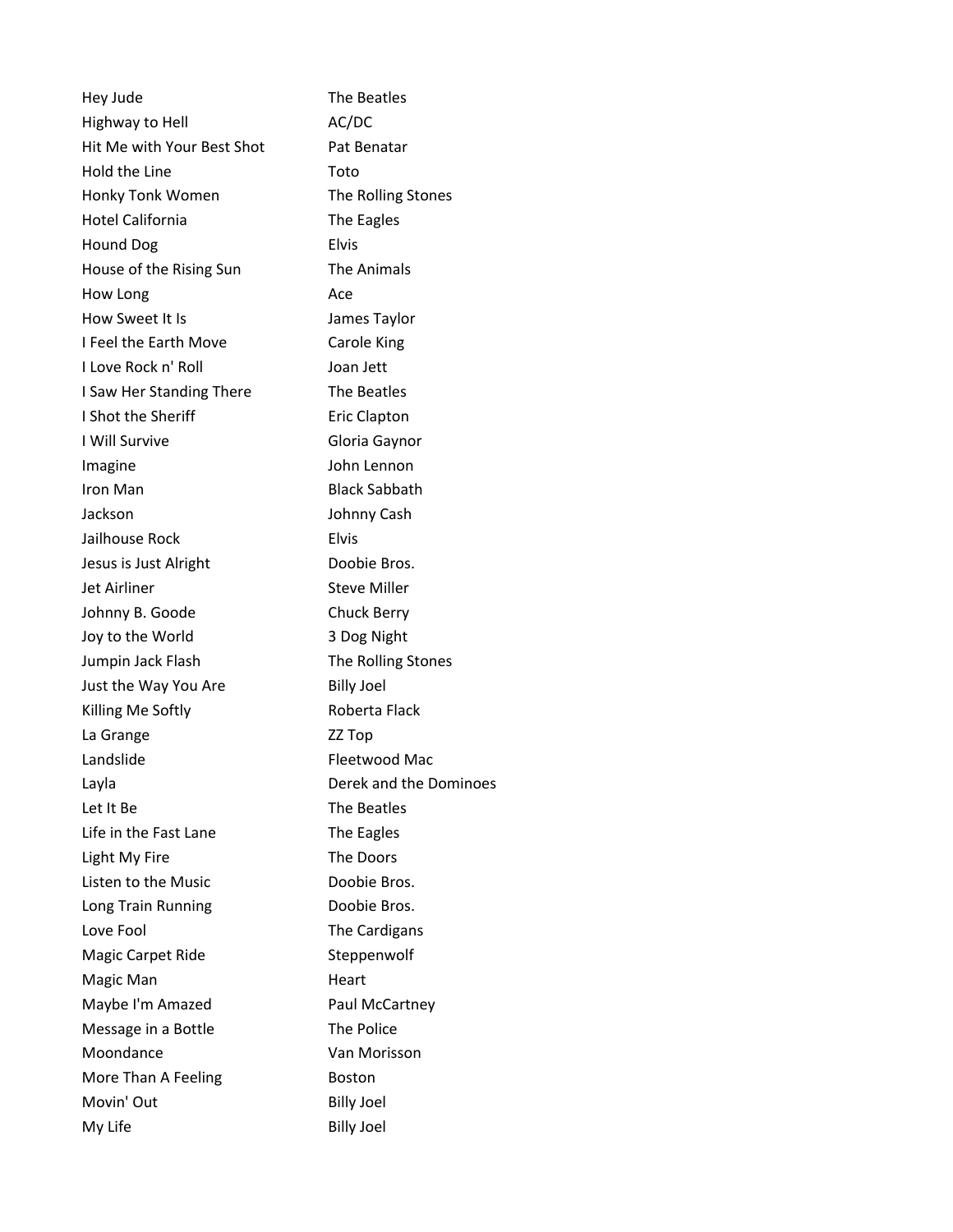| Hey Jude                   | The Beatles            |
|----------------------------|------------------------|
| Highway to Hell            | AC/DC                  |
| Hit Me with Your Best Shot | Pat Benatar            |
| Hold the Line              | Toto                   |
| Honky Tonk Women           | The Rolling Stones     |
| <b>Hotel California</b>    | The Eagles             |
| <b>Hound Dog</b>           | <b>Elvis</b>           |
| House of the Rising Sun    | The Animals            |
| How Long                   | Ace                    |
| How Sweet It Is            | James Taylor           |
| I Feel the Earth Move      | Carole King            |
| I Love Rock n' Roll        | Joan Jett              |
| I Saw Her Standing There   | The Beatles            |
| I Shot the Sheriff         | Eric Clapton           |
| <b>I Will Survive</b>      | Gloria Gaynor          |
| Imagine                    | John Lennon            |
| Iron Man                   | <b>Black Sabbath</b>   |
| Jackson                    | Johnny Cash            |
| Jailhouse Rock             | Elvis                  |
| Jesus is Just Alright      | Doobie Bros.           |
| Jet Airliner               | <b>Steve Miller</b>    |
| Johnny B. Goode            | <b>Chuck Berry</b>     |
| Joy to the World           | 3 Dog Night            |
| Jumpin Jack Flash          | The Rolling Stones     |
| Just the Way You Are       | <b>Billy Joel</b>      |
| Killing Me Softly          | Roberta Flack          |
| La Grange                  | ZZ Top                 |
| Landslide                  | Fleetwood Mac          |
| Layla                      | Derek and the Dominoes |
| Let It Be                  | The Beatles            |
| Life in the Fast Lane      | The Eagles             |
| Light My Fire              | The Doors              |
| Listen to the Music        | Doobie Bros.           |
| Long Train Running         | Doobie Bros.           |
| Love Fool                  | The Cardigans          |
| Magic Carpet Ride          | Steppenwolf            |
| Magic Man                  | Heart                  |
| Maybe I'm Amazed           | Paul McCartney         |
| Message in a Bottle        | The Police             |
| Moondance                  | Van Morisson           |
| More Than A Feeling        | <b>Boston</b>          |
| Movin' Out                 | <b>Billy Joel</b>      |
| My Life                    | <b>Billy Joel</b>      |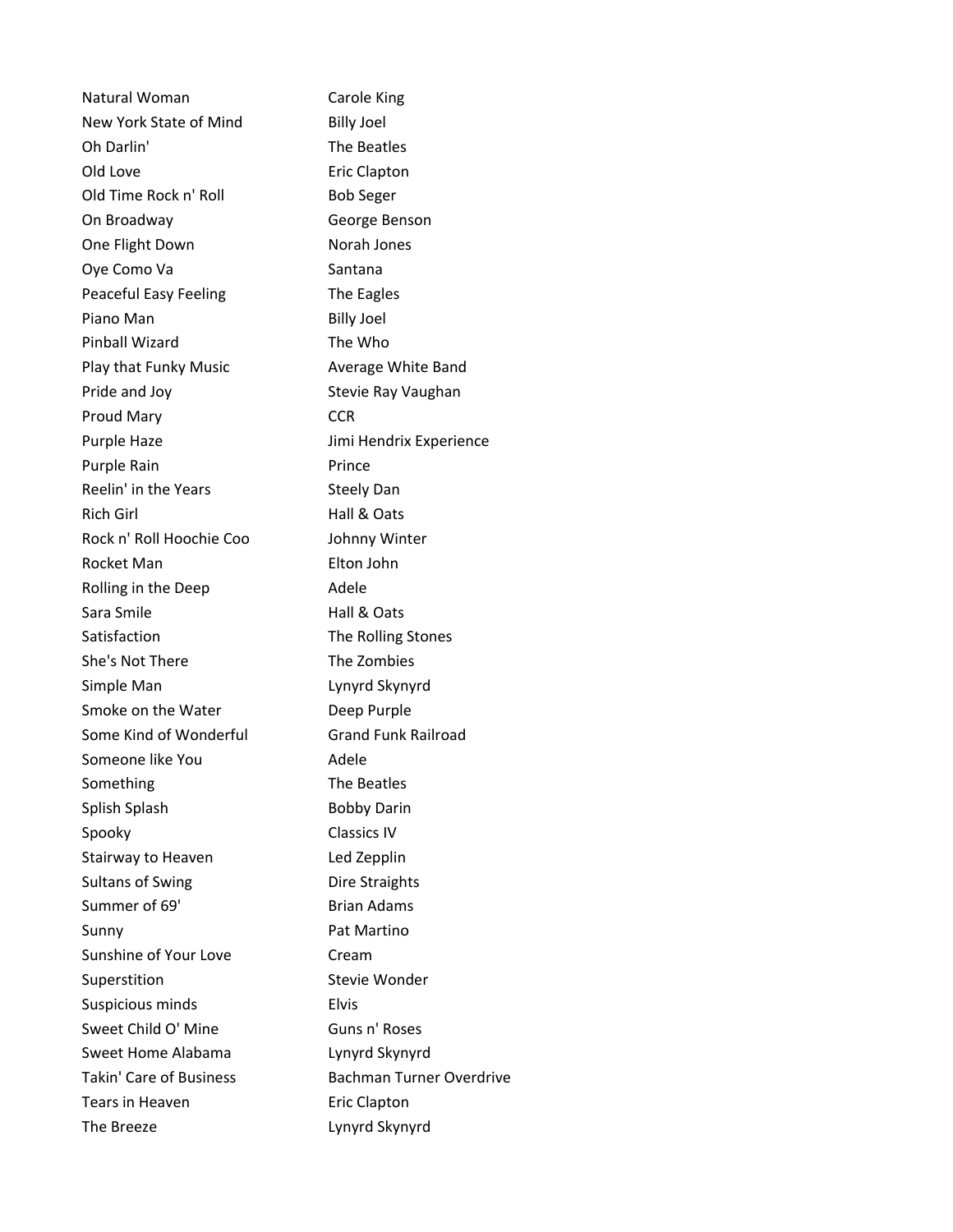Natural Woman Carole King New York State of Mind
Billy Joel Oh Darlin' The Beatles Old Love Eric Clapton Old Time Rock n' Roll Bob Seger On Broadway George Benson One Flight Down Norah Jones Oye Como Va Santana Peaceful Easy Feeling The Eagles Piano Man Billy Joel Pinball Wizard The Who Play that Funky Music **Average White Band** Pride and Joy Stevie Ray Vaughan Proud Mary **CCR** Purple Haze **Jimi Hendrix Experience** Purple Rain Prince Reelin' in the Years Steely Dan Rich Girl **Hall & Oats** Rock n' Roll Hoochie Coo Johnny Winter Rocket Man Elton John Rolling in the Deep Adele Sara Smile **Hall & Oats** Satisfaction **The Rolling Stones** She's Not There The Zombies Simple Man Lynyrd Skynyrd Smoke on the Water **Deep Purple** Some Kind of Wonderful Grand Funk Railroad Someone like You **Adele** Something The Beatles Splish Splash Bobby Darin Spooky Classics IV Stairway to Heaven **Led Zepplin** Sultans of Swing **Dire Straights** Summer of 69' Brian Adams Sunny **Pat Martino** Sunshine of Your Love **Cream** Superstition Superstition Stevie Wonder Suspicious minds Elvis Sweet Child O' Mine Guns n' Roses Sweet Home Alabama Lynyrd Skynyrd Takin' Care of Business Bachman Turner Overdrive Tears in Heaven **Example 20** Eric Clapton The Breeze Lynyrd Skynyrd